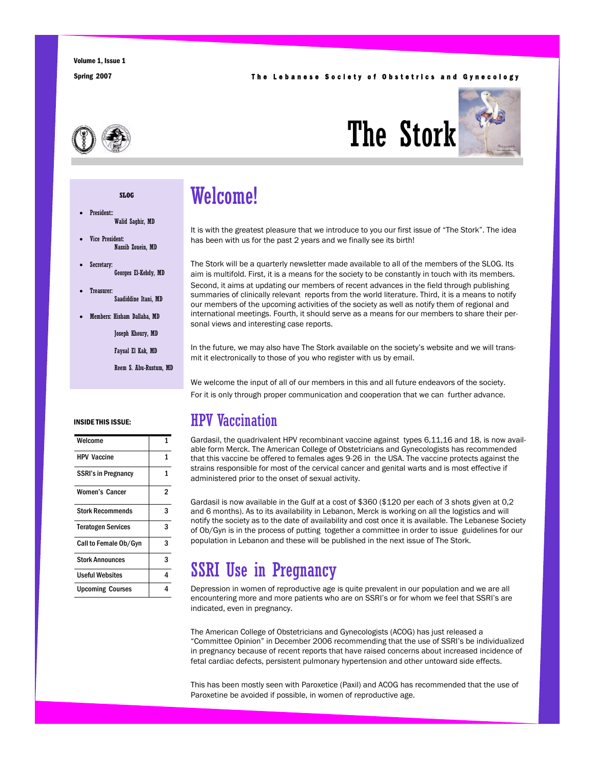#### Spring 2007 **The Lebanese Society of Obstetrics and Gynecology**





President: Walid Saghir, MD

**SLOG** 

- Vice President: Nassib Zouein, MD
- Secretary: Georges El-Kehdy, MD
- Treasurer: Saadiddine Itani, MD
- Members: Hisham Dallaha, MD
	- Joseph Khoury, MD
	- Faysal El Kak, MD
	- Reem S. Abu-Rustum, MD

#### INSIDE THIS ISSUE:

| Welcome                    | 1 |
|----------------------------|---|
| <b>HPV Vaccine</b>         | 1 |
| <b>SSRI's in Pregnancy</b> | 1 |
| <b>Women's Cancer</b>      | 2 |
| <b>Stork Recommends</b>    | 3 |
| <b>Teratogen Services</b>  | 3 |
| Call to Female Ob/Gyn      | 3 |
| <b>Stork Announces</b>     | 3 |
| Useful Websites            | 4 |
| <b>Upcoming Courses</b>    | 4 |

## Welcome!

It is with the greatest pleasure that we introduce to you our first issue of "The Stork". The idea has been with us for the past 2 years and we finally see its birth!

The Stork will be a quarterly newsletter made available to all of the members of the SLOG. Its aim is multifold. First, it is a means for the society to be constantly in touch with its members. Second, it aims at updating our members of recent advances in the field through publishing summaries of clinically relevant reports from the world literature. Third, it is a means to notify our members of the upcoming activities of the society as well as notify them of regional and international meetings. Fourth, it should serve as a means for our members to share their personal views and interesting case reports.

In the future, we may also have The Stork available on the society's website and we will transmit it electronically to those of you who register with us by email.

We welcome the input of all of our members in this and all future endeavors of the society. For it is only through proper communication and cooperation that we can further advance.

#### HPV Vaccination

Gardasil, the quadrivalent HPV recombinant vaccine against types 6,11,16 and 18, is now available form Merck. The American College of Obstetricians and Gynecologists has recommended that this vaccine be offered to females ages 9-26 in the USA. The vaccine protects against the strains responsible for most of the cervical cancer and genital warts and is most effective if administered prior to the onset of sexual activity.

Gardasil is now available in the Gulf at a cost of \$360 (\$120 per each of 3 shots given at 0,2 and 6 months). As to its availability in Lebanon, Merck is working on all the logistics and will notify the society as to the date of availability and cost once it is available. The Lebanese Society of Ob/Gyn is in the process of putting together a committee in order to issue guidelines for our population in Lebanon and these will be published in the next issue of The Stork.

#### SSRI Use in Pregnancy

Depression in women of reproductive age is quite prevalent in our population and we are all encountering more and more patients who are on SSRI's or for whom we feel that SSRI's are indicated, even in pregnancy.

The American College of Obstetricians and Gynecologists (ACOG) has just released a "Committee Opinion" in December 2006 recommending that the use of SSRI's be individualized in pregnancy because of recent reports that have raised concerns about increased incidence of fetal cardiac defects, persistent pulmonary hypertension and other untoward side effects.

This has been mostly seen with Paroxetice (Paxil) and ACOG has recommended that the use of Paroxetine be avoided if possible, in women of reproductive age.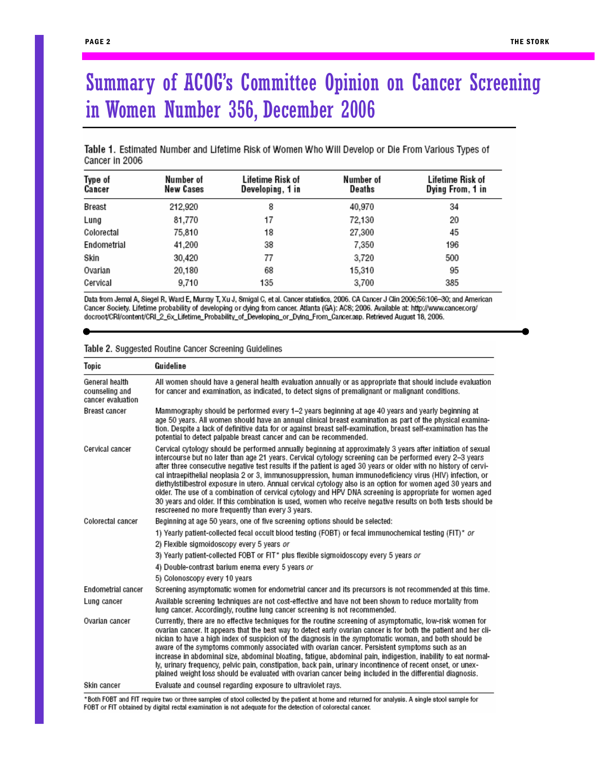## Summary of ACOG's Committee Opinion on Cancer Screening in Women Number 356, December 2006

Table 1. Estimated Number and Lifetime Risk of Women Who Will Develop or Die From Various Types of Cancer in 2006

| Type of<br>Cancer | Number of<br>New Cases | Lifetime Risk of<br>Developing, 1 in | Number of<br>Deaths | Lifetime Risk of<br>Dying From, 1 in |
|-------------------|------------------------|--------------------------------------|---------------------|--------------------------------------|
| Breast            | 212,920                | 8                                    | 40,970              | 34                                   |
| Lung              | 81,770                 | 17                                   | 72,130              | 20                                   |
| Colorectal        | 75,810                 | 18                                   | 27,300              | 45                                   |
| Endometrial       | 41,200                 | 38                                   | 7,350               | 196                                  |
| Skin              | 30,420                 | 77                                   | 3,720               | 500                                  |
| Ovarian           | 20,180                 | 68                                   | 15,310              | 95                                   |
| Cervical          | 9.710                  | 135                                  | 3,700               | 385                                  |

Data from Jemal A, Siegel R, Ward E, Murray T, Xu J, Smigal C, et al. Cancer statistics, 2006. CA Cancer J Clin 2006;56:106-30; and American Cancer Society. Lifetime probability of developing or dying from cancer. Atlanta (GA): ACS; 2006. Available at: http://www.cancer.org/ docroot/CRI/content/CRI\_2\_6x\_Lifetime\_Probability\_of\_Developing\_or\_Dving\_From\_Cancer.asp. Retrieved August 18, 2006.

| Table 2. Suggested Routine Cancer Screening Guidelines |  |
|--------------------------------------------------------|--|
|--------------------------------------------------------|--|

| Topic                                                 | Guideline                                                                                                                                                                                                                                                                                                                                                                                                                                                                                                                                                                                                                                                                                                                                                                                                                                                  |
|-------------------------------------------------------|------------------------------------------------------------------------------------------------------------------------------------------------------------------------------------------------------------------------------------------------------------------------------------------------------------------------------------------------------------------------------------------------------------------------------------------------------------------------------------------------------------------------------------------------------------------------------------------------------------------------------------------------------------------------------------------------------------------------------------------------------------------------------------------------------------------------------------------------------------|
| General health<br>counseling and<br>cancer evaluation | All women should have a general health evaluation annually or as appropriate that should include evaluation<br>for cancer and examination, as indicated, to detect signs of premalignant or malignant conditions.                                                                                                                                                                                                                                                                                                                                                                                                                                                                                                                                                                                                                                          |
| Breast cancer                                         | Mammography should be performed every 1–2 years beginning at age 40 years and yearly beginning at<br>age 50 years. All women should have an annual clinical breast examination as part of the physical examina-<br>tion. Despite a lack of definitive data for or against breast self-examination, breast self-examination has the<br>potential to detect palpable breast cancer and can be recommended.                                                                                                                                                                                                                                                                                                                                                                                                                                                   |
| Cervical cancer                                       | Cervical cytology should be performed annually beginning at approximately 3 years after initiation of sexual<br>intercourse but no later than age 21 years. Cervical cytology screening can be performed every 2–3 years.<br>after three consecutive negative test results if the patient is aged 30 years or older with no history of cervi-<br>cal intraepithelial neoplasia 2 or 3, immunosuppression, human immunodeficiency virus (HIV) infection, or<br>diethylstilbestrol exposure in utero. Annual cervical cytology also is an option for women aged 30 years and<br>older. The use of a combination of cervical cytology and HPV DNA screening is appropriate for women aged<br>30 years and older. If this combination is used, women who receive negative results on both tests should be<br>rescreened no more frequently than every 3 years. |
| Colorectal cancer                                     | Beginning at age 50 years, one of five screening options should be selected:                                                                                                                                                                                                                                                                                                                                                                                                                                                                                                                                                                                                                                                                                                                                                                               |
|                                                       | 1) Yearly patient-collected fecal occult blood testing (FOBT) or fecal immunochemical testing (FIT)* or                                                                                                                                                                                                                                                                                                                                                                                                                                                                                                                                                                                                                                                                                                                                                    |
|                                                       | 2) Flexible sigmoidoscopy every 5 years or                                                                                                                                                                                                                                                                                                                                                                                                                                                                                                                                                                                                                                                                                                                                                                                                                 |
|                                                       | 3) Yearly patient-collected FOBT or FIT* plus flexible sigmoidoscopy every 5 years or                                                                                                                                                                                                                                                                                                                                                                                                                                                                                                                                                                                                                                                                                                                                                                      |
|                                                       | 4) Double-contrast barium enema every 5 years or                                                                                                                                                                                                                                                                                                                                                                                                                                                                                                                                                                                                                                                                                                                                                                                                           |
|                                                       | 5) Colonoscopy every 10 years                                                                                                                                                                                                                                                                                                                                                                                                                                                                                                                                                                                                                                                                                                                                                                                                                              |
| Endometrial cancer                                    | Screening asymptomatic women for endometrial cancer and its precursors is not recommended at this time.                                                                                                                                                                                                                                                                                                                                                                                                                                                                                                                                                                                                                                                                                                                                                    |
| Lung cancer                                           | Available screening techniques are not cost-effective and have not been shown to reduce mortality from<br>lung cancer. Accordingly, routine lung cancer screening is not recommended.                                                                                                                                                                                                                                                                                                                                                                                                                                                                                                                                                                                                                                                                      |
| Ovarian cancer                                        | Currently, there are no effective techniques for the routine screening of asymptomatic, low-risk women for<br>ovarian cancer. It appears that the best way to detect early ovarian cancer is for both the patient and her cli-<br>nician to have a high index of suspicion of the diagnosis in the symptomatic woman, and both should be<br>aware of the symptoms commonly associated with ovarian cancer. Persistent symptoms such as an<br>increase in abdominal size, abdominal bloating, fatigue, abdominal pain, indigestion, inability to eat normal-<br>ly, urinary frequency, pelvic pain, constipation, back pain, urinary incontinence of recent onset, or unex-<br>plained weight loss should be evaluated with ovarian cancer being included in the differential diagnosis.                                                                    |
| Skin cancer                                           | Evaluate and counsel regarding exposure to ultraviolet rays.                                                                                                                                                                                                                                                                                                                                                                                                                                                                                                                                                                                                                                                                                                                                                                                               |

\*Both FOBT and FIT require two or three samples of stool collected by the patient at home and returned for analysis. A single stool sample for FOBT or FIT obtained by digital rectal examination is not adequate for the detection of colorectal cancer.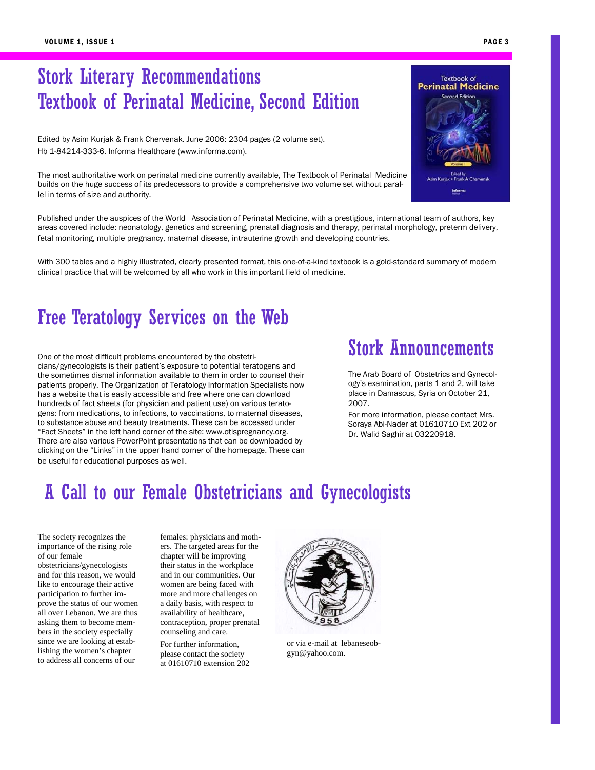## Stork Literary Recommendations Textbook of Perinatal Medicine, Second Edition

Edited by Asim Kurjak & Frank Chervenak. June 2006: 2304 pages (2 volume set). Hb 1-84214-333-6. Informa Healthcare (www.informa.com).

The most authoritative work on perinatal medicine currently available, The Textbook of Perinatal Medicine builds on the huge success of its predecessors to provide a comprehensive two volume set without parallel in terms of size and authority.

Published under the auspices of the World Association of Perinatal Medicine, with a prestigious, international team of authors, key areas covered include: neonatology, genetics and screening, prenatal diagnosis and therapy, perinatal morphology, preterm delivery, fetal monitoring, multiple pregnancy, maternal disease, intrauterine growth and developing countries.

With 300 tables and a highly illustrated, clearly presented format, this one-of-a-kind textbook is a gold-standard summary of modern clinical practice that will be welcomed by all who work in this important field of medicine.

### Free Teratology Services on the Web

One of the most difficult problems encountered by the obstetricians/gynecologists is their patient's exposure to potential teratogens and the sometimes dismal information available to them in order to counsel their patients properly. The Organization of Teratology Information Specialists now has a website that is easily accessible and free where one can download hundreds of fact sheets (for physician and patient use) on various teratogens: from medications, to infections, to vaccinations, to maternal diseases, to substance abuse and beauty treatments. These can be accessed under "Fact Sheets" in the left hand corner of the site: www.otispregnancy.org. There are also various PowerPoint presentations that can be downloaded by clicking on the "Links" in the upper hand corner of the homepage. These can be useful for educational purposes as well.

### Stork Announcements

The Arab Board of Obstetrics and Gynecology's examination, parts 1 and 2, will take place in Damascus, Syria on October 21, 2007.

For more information, please contact Mrs. Soraya Abi-Nader at 01610710 Ext 202 or Dr. Walid Saghir at 03220918.

### A Call to our Female Obstetricians and Gynecologists

The society recognizes the importance of the rising role of our female obstetricians/gynecologists and for this reason, we would like to encourage their active participation to further improve the status of our women all over Lebanon. We are thus asking them to become members in the society especially since we are looking at establishing the women's chapter to address all concerns of our

females: physicians and mothers. The targeted areas for the chapter will be improving their status in the workplace and in our communities. Our women are being faced with more and more challenges on a daily basis, with respect to availability of healthcare, contraception, proper prenatal counseling and care.

For further information, please contact the society at 01610710 extension 202



or via e-mail at lebaneseobgyn@yahoo.com.

informa

PAGE 3